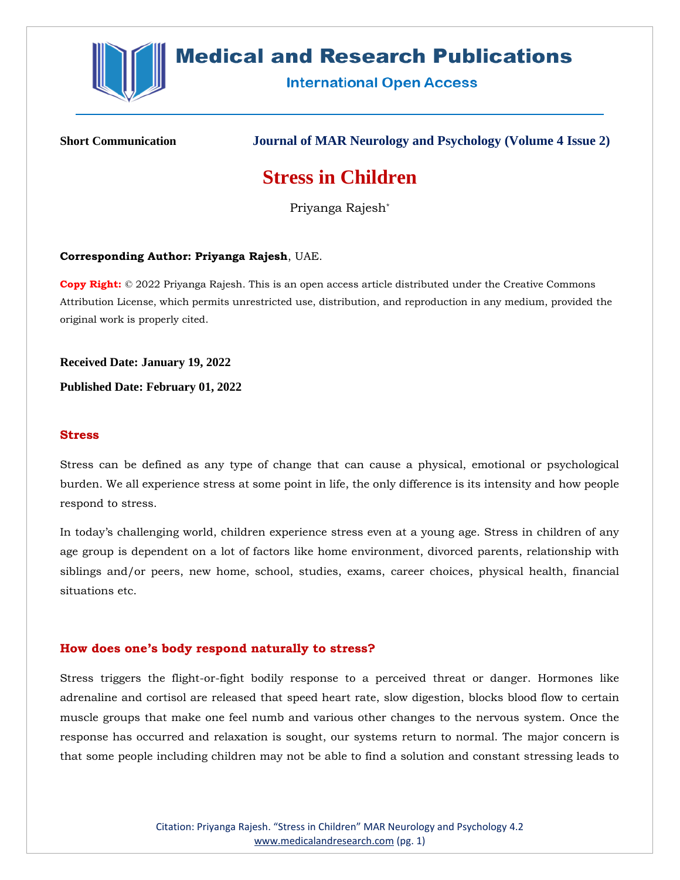

# **Medical and Research Publications**

**International Open Access** 

**Short Communication Journal of MAR Neurology and Psychology (Volume 4 Issue 2)**

## **Stress in Children**

Priyanga Rajesh\*

#### **Corresponding Author: Priyanga Rajesh**, UAE.

**Copy Right:** © 2022 Priyanga Rajesh. This is an open access article distributed under the Creative Commons Attribution License, which permits unrestricted use, distribution, and reproduction in any medium, provided the original work is properly cited.

**Received Date: January 19, 2022**

**Published Date: February 01, 2022**

#### **Stress**

Stress can be defined as any type of change that can cause a physical, emotional or psychological burden. We all experience stress at some point in life, the only difference is its intensity and how people respond to stress.

In today's challenging world, children experience stress even at a young age. Stress in children of any age group is dependent on a lot of factors like home environment, divorced parents, relationship with siblings and/or peers, new home, school, studies, exams, career choices, physical health, financial situations etc.

#### **How does one's body respond naturally to stress?**

Stress triggers the flight-or-fight bodily response to a perceived threat or danger. Hormones like adrenaline and cortisol are released that speed heart rate, slow digestion, blocks blood flow to certain muscle groups that make one feel numb and various other changes to the nervous system. Once the response has occurred and relaxation is sought, our systems return to normal. The major concern is that some people including children may not be able to find a solution and constant stressing leads to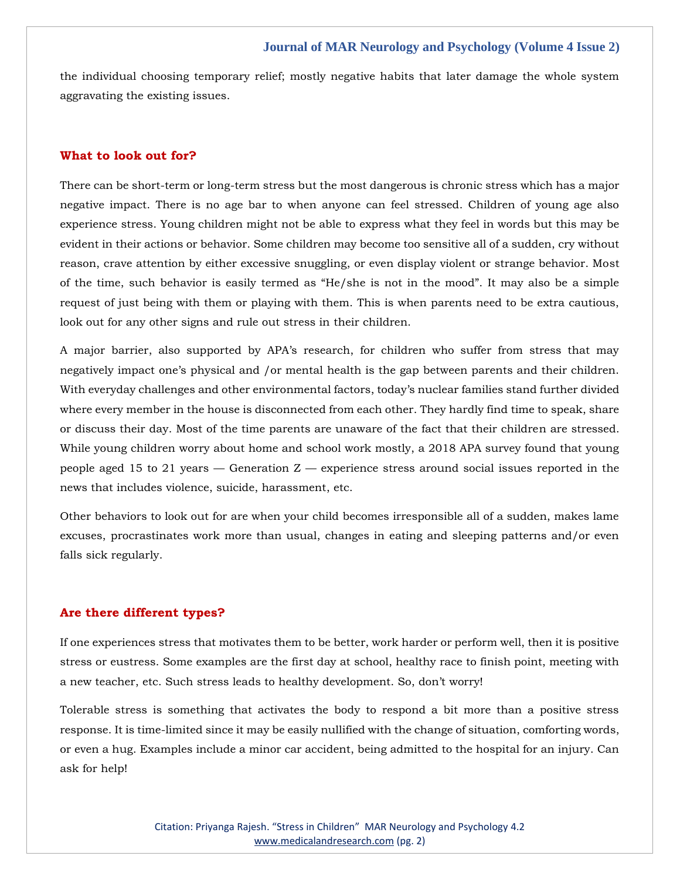#### **Journal of MAR Neurology and Psychology (Volume 4 Issue 2)**

the individual choosing temporary relief; mostly negative habits that later damage the whole system aggravating the existing issues.

#### **What to look out for?**

There can be short-term or long-term stress but the most dangerous is chronic stress which has a major negative impact. There is no age bar to when anyone can feel stressed. Children of young age also experience stress. Young children might not be able to express what they feel in words but this may be evident in their actions or behavior. Some children may become too sensitive all of a sudden, cry without reason, crave attention by either excessive snuggling, or even display violent or strange behavior. Most of the time, such behavior is easily termed as "He/she is not in the mood". It may also be a simple request of just being with them or playing with them. This is when parents need to be extra cautious, look out for any other signs and rule out stress in their children.

A major barrier, also supported by APA's research, for children who suffer from stress that may negatively impact one's physical and /or mental health is the gap between parents and their children. With everyday challenges and other environmental factors, today's nuclear families stand further divided where every member in the house is disconnected from each other. They hardly find time to speak, share or discuss their day. Most of the time parents are unaware of the fact that their children are stressed. While young children worry about home and school work mostly, a 2018 APA survey found that young people aged 15 to 21 years — Generation  $Z$  — experience stress around social issues reported in the news that includes violence, suicide, harassment, etc.

Other behaviors to look out for are when your child becomes irresponsible all of a sudden, makes lame excuses, procrastinates work more than usual, changes in eating and sleeping patterns and/or even falls sick regularly.

#### **Are there different types?**

If one experiences stress that motivates them to be better, work harder or perform well, then it is positive stress or eustress. Some examples are the first day at school, healthy race to finish point, meeting with a new teacher, etc. Such stress leads to healthy development. So, don't worry!

Tolerable stress is something that activates the body to respond a bit more than a positive stress response. It is time-limited since it may be easily nullified with the change of situation, comforting words, or even a hug. Examples include a minor car accident, being admitted to the hospital for an injury. Can ask for help!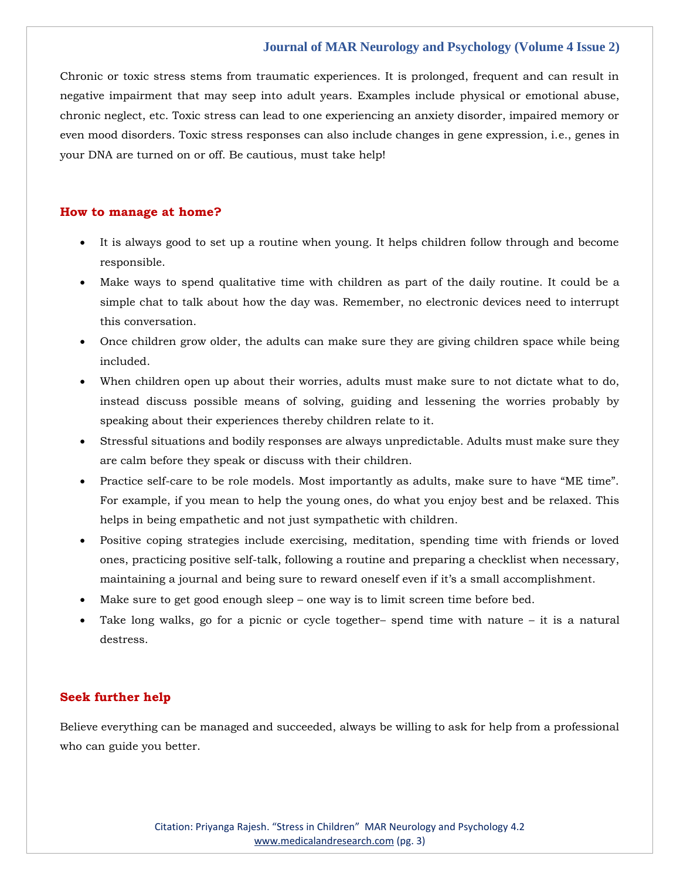### **Journal of MAR Neurology and Psychology (Volume 4 Issue 2)**

Chronic or toxic stress stems from traumatic experiences. It is prolonged, frequent and can result in negative impairment that may seep into adult years. Examples include physical or emotional abuse, chronic neglect, etc. Toxic stress can lead to one experiencing an anxiety disorder, impaired memory or even mood disorders. Toxic stress responses can also include changes in gene expression, i.e., genes in your DNA are turned on or off. Be cautious, must take help!

#### **How to manage at home?**

- It is always good to set up a routine when young. It helps children follow through and become responsible.
- Make ways to spend qualitative time with children as part of the daily routine. It could be a simple chat to talk about how the day was. Remember, no electronic devices need to interrupt this conversation.
- Once children grow older, the adults can make sure they are giving children space while being included.
- When children open up about their worries, adults must make sure to not dictate what to do, instead discuss possible means of solving, guiding and lessening the worries probably by speaking about their experiences thereby children relate to it.
- Stressful situations and bodily responses are always unpredictable. Adults must make sure they are calm before they speak or discuss with their children.
- Practice self-care to be role models. Most importantly as adults, make sure to have "ME time". For example, if you mean to help the young ones, do what you enjoy best and be relaxed. This helps in being empathetic and not just sympathetic with children.
- Positive coping strategies include exercising, meditation, spending time with friends or loved ones, practicing positive self-talk, following a routine and preparing a checklist when necessary, maintaining a journal and being sure to reward oneself even if it's a small accomplishment.
- Make sure to get good enough sleep one way is to limit screen time before bed.
- Take long walks, go for a picnic or cycle together– spend time with nature  $-$  it is a natural destress.

#### **Seek further help**

Believe everything can be managed and succeeded, always be willing to ask for help from a professional who can guide you better.